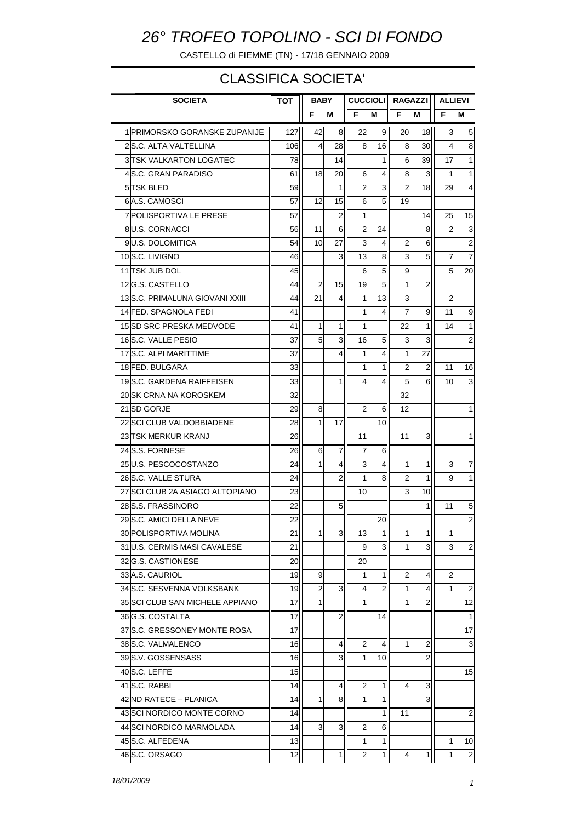## *26° TROFEO TOPOLINO - SCI DI FONDO*

CASTELLO di FIEMME (TN) - 17/18 GENNAIO 2009

## CLASSIFICA SOCIETA'

| <b>SOCIETA</b>           |                                 | тот | BABY |    | <b>CUCCIOLI</b> |                | <b>RAGAZZI</b> |                | <b>ALLIEVI</b> |                |
|--------------------------|---------------------------------|-----|------|----|-----------------|----------------|----------------|----------------|----------------|----------------|
|                          |                                 |     | F    | М  | F               | м              | F              | м              | F              | М              |
|                          | 1 PRIMORSKO GORANSKE ZUPANIJE   | 127 | 42   | 8  | 22              | 9              | 20             | 18             | 3              | 5 <sub>l</sub> |
| 2S.C. ALTA VALTELLINA    |                                 | 106 | 4    | 28 | 8               | 16             | 8              | 30             | 4              | 8              |
|                          | <b>3 TSK VALKARTON LOGATEC</b>  | 78  |      | 14 |                 | 1              | 6              | 39             | 17             | 1              |
|                          | 4 S.C. GRAN PARADISO            |     | 18   | 20 | 6               | 4              | 8              | 3              | 1              | 1              |
| 5 TSK BLED               |                                 |     |      | 1  | $\overline{2}$  | 3              | $\overline{2}$ | 18             | 29             | 4              |
| 6A.S. CAMOSCI            |                                 | 57  | 12   | 15 | 6               | 5              | 19             |                |                |                |
|                          | <b>7 POLISPORTIVA LE PRESE</b>  |     |      | 2  | 1               |                |                | 14             | 25             | 15             |
|                          | 8U.S. CORNACCI                  |     | 11   | 6  | $\overline{2}$  | 24             |                | 8              | $\overline{2}$ | 3              |
|                          | 9U.S. DOLOMITICA                |     | 10   | 27 | 3               | 4              | 2              | 6              |                | $\overline{2}$ |
|                          | 10 S.C. LIVIGNO                 |     |      | 3  | 13              | 8              | 3              | 5              | 7              | $\overline{7}$ |
| 11 TSK JUB DOL           |                                 | 45  |      |    | 6               | 5              | 9              |                | 5              | 20             |
|                          | 12G.S. CASTELLO                 |     | 2    | 15 | 19              | 5              | 1              | $\overline{2}$ |                |                |
|                          | 13 S.C. PRIMALUNA GIOVANI XXIII | 44  | 21   | 4  | 1               | 13             | 3              |                | $\overline{2}$ |                |
| 14 FED. SPAGNOLA FEDI    |                                 | 41  |      |    | 1               | 4              | 7              | 9              | 11             | 9              |
|                          | 15 SD SRC PRESKA MEDVODE        | 41  | 1    | 1  | 1               |                | 22             | 1              | 14             | 1              |
| 16 S.C. VALLE PESIO      |                                 | 37  | 5    | 3  | 16              | 5              | 3              | 3              |                | $\overline{2}$ |
| 17S.C. ALPI MARITTIME    |                                 | 37  |      | 4  | 1               | 4              | 1              | 27             |                |                |
| 18 FED. BULGARA          |                                 | 33  |      |    | 1               | 1              | $\overline{c}$ | 2              | 11             | 16             |
|                          | 19 S.C. GARDENA RAIFFEISEN      | 33  |      | 1  | 4               | 4              | 5              | 6              | 10             | 3              |
|                          | 20 SK CRNA NA KOROSKEM          |     |      |    |                 |                | 32             |                |                |                |
| 21 SD GORJE              |                                 | 29  | 8    |    | $\overline{2}$  | 6              | 12             |                |                | 1              |
|                          | 22 SCI CLUB VALDOBBIADENE       | 28  | 1    | 17 |                 | 10             |                |                |                |                |
| 23 TSK MERKUR KRANJ      |                                 | 26  |      |    | 11              |                | 11             | 3              |                | 1              |
| 24 S.S. FORNESE          |                                 | 26  | 6    | 7  | 7               | 6              |                |                |                |                |
| 25U.S. PESCOCOSTANZO     |                                 | 24  | 1    | 4  | 3               | 4              | 1              | 1              | 3              | 7              |
| 26 S.C. VALLE STURA      |                                 | 24  |      | 2  | 1               | 8              | $\overline{2}$ | 1              | 9              | 1              |
|                          | 27 SCI CLUB 2A ASIAGO ALTOPIANO | 23  |      |    | 10              |                | 3              | 10             |                |                |
| 28 S.S. FRASSINORO       |                                 | 22  |      | 5  |                 |                |                | 1              | 11             | 5              |
| 29 S.C. AMICI DELLA NEVE |                                 | 22  |      |    |                 | 20             |                |                |                | $\overline{2}$ |
| 30 POLISPORTIVA MOLINA   |                                 | 21  | 1    | 3  | 13              | 11             | 1              | 1              |                |                |
|                          | 31 U.S. CERMIS MASI CAVALESE    | 21  |      |    | 9               | 3              | 1              | 3              | 3              | $\overline{a}$ |
| 32G.S. CASTIONESE        |                                 | 20  |      |    | 20              |                |                |                |                |                |
| 33 A.S. CAURIOL          |                                 | 19  | 9    |    | 1               | 1              | 2              | 4              | 2              |                |
|                          | 34 S.C. SESVENNA VOLKSBANK      | 19  | 2    | 3  | 4               | $\overline{2}$ | 1              | 4              | 1              | $\overline{2}$ |
|                          | 35 SCI CLUB SAN MICHELE APPIANO | 17  | 1    |    | 1               |                | 1              | 2              |                | 12             |
| 36 G.S. COSTALTA         |                                 | 17  |      | 2  |                 | 14             |                |                |                | 1              |
|                          | 37 S.C. GRESSONEY MONTE ROSA    | 17  |      |    |                 |                |                |                |                | 17             |
| 38 S.C. VALMALENCO       |                                 | 16  |      | 4  | 2               | $\overline{4}$ | 1              | 2              |                | 3              |
| 39 S.V. GOSSENSASS       |                                 | 16  |      | 3  | 1               | 10             |                | 2              |                |                |
| 40S.C. LEFFE             |                                 | 15  |      |    |                 |                |                |                |                | 15             |
| 41 S.C. RABBI            |                                 | 14  |      | 4  | 2               | 1              | 4              | 3              |                |                |
| 42 ND RATECE - PLANICA   |                                 | 14  | 1    | 8  | 1               | 1              |                | 3              |                |                |
|                          | 43 SCI NORDICO MONTE CORNO      | 14  |      |    |                 | 1              | 11             |                |                | 2              |
|                          | 44 SCI NORDICO MARMOLADA        | 14  | 3    | 3  | 2               | 6              |                |                |                |                |
| 45 S.C. ALFEDENA         |                                 | 13  |      |    | 1               | 1              |                |                | 1              | 10             |
| 46 S.C. ORSAGO           |                                 | 12  |      | 1  | 2               | $\mathbf{1}$   | 4              | 1              | 1              | $\overline{2}$ |